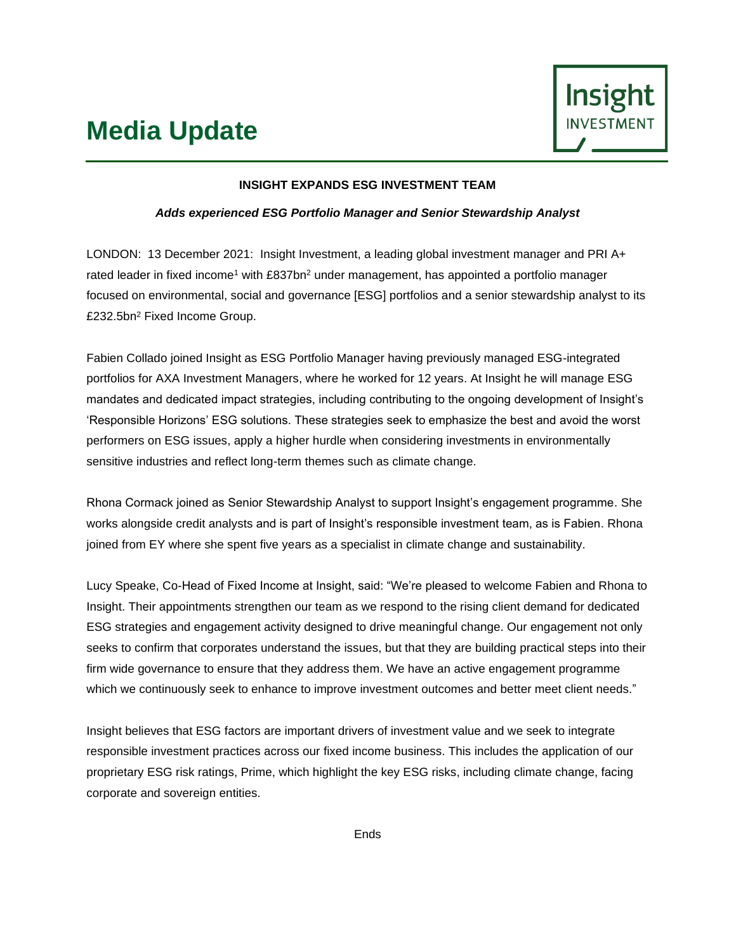# **Media Update**



## **INSIGHT EXPANDS ESG INVESTMENT TEAM**

## *Adds experienced ESG Portfolio Manager and Senior Stewardship Analyst*

LONDON: 13 December 2021: Insight Investment, a leading global investment manager and PRI A+ rated leader in fixed income<sup>1</sup> with £837bn<sup>2</sup> under management, has appointed a portfolio manager focused on environmental, social and governance [ESG] portfolios and a senior stewardship analyst to its £232.5bn<sup>2</sup> Fixed Income Group.

Fabien Collado joined Insight as ESG Portfolio Manager having previously managed ESG-integrated portfolios for AXA Investment Managers, where he worked for 12 years. At Insight he will manage ESG mandates and dedicated impact strategies, including contributing to the ongoing development of Insight's 'Responsible Horizons' ESG solutions. These strategies seek to emphasize the best and avoid the worst performers on ESG issues, apply a higher hurdle when considering investments in environmentally sensitive industries and reflect long-term themes such as climate change.

Rhona Cormack joined as Senior Stewardship Analyst to support Insight's engagement programme. She works alongside credit analysts and is part of Insight's responsible investment team, as is Fabien. Rhona joined from EY where she spent five years as a specialist in climate change and sustainability.

Lucy Speake, Co-Head of Fixed Income at Insight, said: "We're pleased to welcome Fabien and Rhona to Insight. Their appointments strengthen our team as we respond to the rising client demand for dedicated ESG strategies and engagement activity designed to drive meaningful change. Our engagement not only seeks to confirm that corporates understand the issues, but that they are building practical steps into their firm wide governance to ensure that they address them. We have an active engagement programme which we continuously seek to enhance to improve investment outcomes and better meet client needs."

Insight believes that ESG factors are important drivers of investment value and we seek to integrate responsible investment practices across our fixed income business. This includes the application of our proprietary ESG risk ratings, Prime, which highlight the key ESG risks, including climate change, facing corporate and sovereign entities.